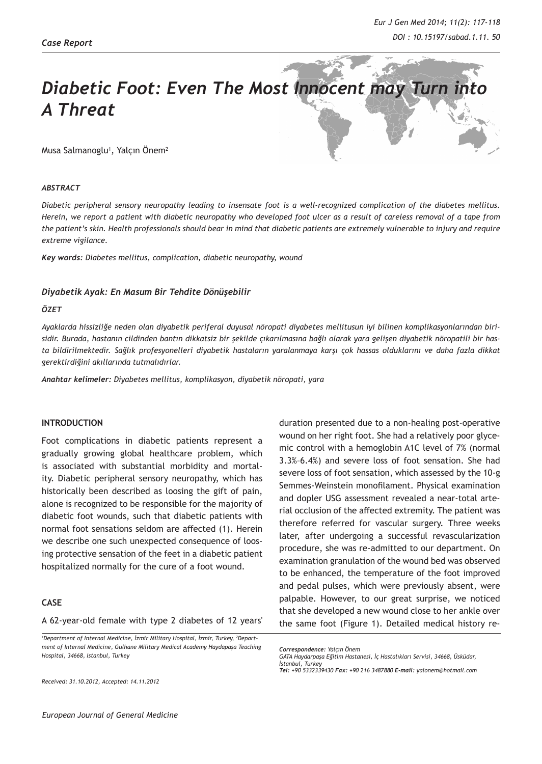# *Diabetic Foot: Even The Most Innocent may Turn into A Threat*

Musa Salmanoglu<sup>1</sup>, Yalçın Onem<sup>2</sup>

#### *ABSTRACT*

*Diabetic peripheral sensory neuropathy leading to insensate foot is a well-recognized complication of the diabetes mellitus. Herein, we report a patient with diabetic neuropathy who developed foot ulcer as a result of careless removal of a tape from the patient's skin. Health professionals should bear in mind that diabetic patients are extremely vulnerable to injury and require extreme vigilance.*

*Key words: Diabetes mellitus, complication, diabetic neuropathy, wound*

# *Diyabetik Ayak: En Masum Bir Tehdite Dönüşebilir*

# *ÖZET*

*Ayaklarda hissizliğe neden olan diyabetik periferal duyusal nöropati diyabetes mellitusun iyi bilinen komplikasyonlarından birisidir. Burada, hastanın cildinden bantın dikkatsiz bir şekilde çıkarılmasına bağlı olarak yara gelişen diyabetik nöropatili bir hasta bildirilmektedir. Sağlık profesyonelleri diyabetik hastaların yaralanmaya karşı çok hassas olduklarını ve daha fazla dikkat gerektirdiğini akıllarında tutmalıdırlar.* 

*Anahtar kelimeler: Diyabetes mellitus, komplikasyon, diyabetik nöropati, yara*

#### **INTRODUCTION**

Foot complications in diabetic patients represent a gradually growing global healthcare problem, which is associated with substantial morbidity and mortality. Diabetic peripheral sensory neuropathy, which has historically been described as loosing the gift of pain, alone is recognized to be responsible for the majority of diabetic foot wounds, such that diabetic patients with normal foot sensations seldom are affected (1). Herein we describe one such unexpected consequence of loosing protective sensation of the feet in a diabetic patient hospitalized normally for the cure of a foot wound.

# **CASE**

A 62-year-old female with type 2 diabetes of 12 years'

<sup>1</sup>Department of Internal Medicine, İzmir Military Hospital, İzmir, Turkey, <sup>2</sup>Depart*ment of Internal Medicine, Gulhane Military Medical Academy Haydapaşa Teaching Hospital, 34668, Istanbul, Turkey*

*Received: 31.10.2012, Accepted: 14.11.2012*

duration presented due to a non-healing post-operative wound on her right foot. She had a relatively poor glycemic control with a hemoglobin A1C level of 7% (normal 3.3%–6.4%) and severe loss of foot sensation. She had severe loss of foot sensation, which assessed by the 10-g Semmes-Weinstein monofilament. Physical examination and dopler USG assessment revealed a near-total arterial occlusion of the affected extremity. The patient was therefore referred for vascular surgery. Three weeks later, after undergoing a successful revascularization procedure, she was re-admitted to our department. On examination granulation of the wound bed was observed to be enhanced, the temperature of the foot improved and pedal pulses, which were previously absent, were palpable. However, to our great surprise, we noticed that she developed a new wound close to her ankle over the same foot (Figure 1). Detailed medical history re-

*Correspondence: Yalçın Önem*

*GATA Haydarpaşa Eğitim Hastanesi, İç Hastalıkları Servisi, 34668, Üsküdar, İstanbul, Turkey Tel: +90 5332339430 Fax: +90 216 3487880 E-mail: yalonem@hotmail.com*